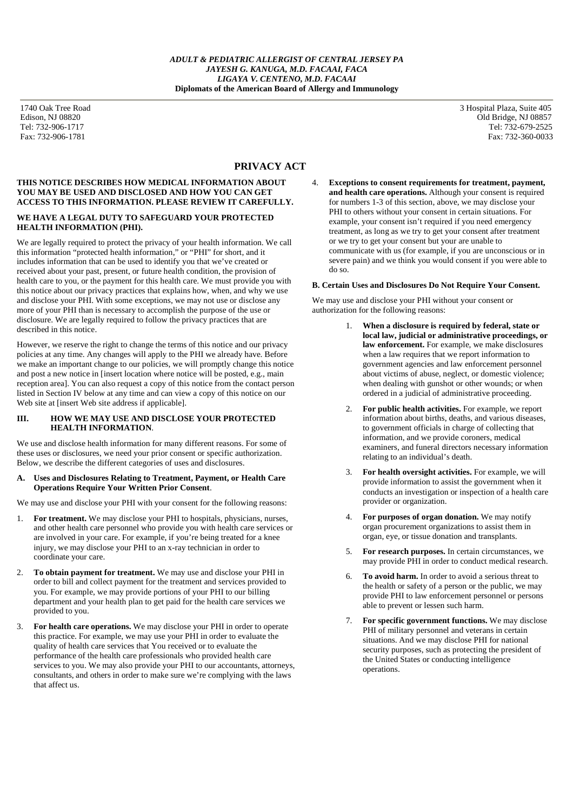# **PRIVACY ACT**

#### **THIS NOTICE DESCRIBES HOW MEDICAL INFORMATION ABOUT YOU MAY BE USED AND DISCLOSED AND HOW YOU CAN GET ACCESS TO THIS INFORMATION. PLEASE REVIEW IT CAREFULLY.**

## **WE HAVE A LEGAL DUTY TO SAFEGUARD YOUR PROTECTED HEALTH INFORMATION (PHI).**

We are legally required to protect the privacy of your health information. We call this information "protected health information," or "PHI" for short, and it includes information that can be used to identify you that we've created or received about your past, present, or future health condition, the provision of health care to you, or the payment for this health care. We must provide you with this notice about our privacy practices that explains how, when, and why we use and disclose your PHI. With some exceptions, we may not use or disclose any more of your PHI than is necessary to accomplish the purpose of the use or disclosure. We are legally required to follow the privacy practices that are described in this notice.

However, we reserve the right to change the terms of this notice and our privacy policies at any time. Any changes will apply to the PHI we already have. Before we make an important change to our policies, we will promptly change this notice and post a new notice in [insert location where notice will be posted, e.g., main reception area]. You can also request a copy of this notice from the contact person listed in Section IV below at any time and can view a copy of this notice on our Web site at [insert Web site address if applicable].

## **III. HOW WE MAY USE AND DISCLOSE YOUR PROTECTED HEALTH INFORMATION**.

We use and disclose health information for many different reasons. For some of these uses or disclosures, we need your prior consent or specific authorization. Below, we describe the different categories of uses and disclosures.

### **A. Uses and Disclosures Relating to Treatment, Payment, or Health Care Operations Require Your Written Prior Consent**.

We may use and disclose your PHI with your consent for the following reasons:

- 1. **For treatment.** We may disclose your PHI to hospitals, physicians, nurses, and other health care personnel who provide you with health care services or are involved in your care. For example, if you're being treated for a knee injury, we may disclose your PHI to an x-ray technician in order to coordinate your care.
- 2. **To obtain payment for treatment.** We may use and disclose your PHI in order to bill and collect payment for the treatment and services provided to you. For example, we may provide portions of your PHI to our billing department and your health plan to get paid for the health care services we provided to you.
- 3. **For health care operations.** We may disclose your PHI in order to operate this practice. For example, we may use your PHI in order to evaluate the quality of health care services that You received or to evaluate the performance of the health care professionals who provided health care services to you. We may also provide your PHI to our accountants, attorneys, consultants, and others in order to make sure we're complying with the laws that affect us.

1740 Oak Tree Road 3 Hospital Plaza, Suite 405 Edison, NJ 08820 Old Bridge, NJ 08857<br>
Tel: 732-906-1717 Tel: 732-679-2525 Tel: 732-679-2525 Fax: 732-906-1781 Fax: 732-360-0033

> 4. **Exceptions to consent requirements for treatment, payment, and health care operations.** Although your consent is required for numbers 1-3 of this section, above, we may disclose your PHI to others without your consent in certain situations. For example, your consent isn't required if you need emergency treatment, as long as we try to get your consent after treatment or we try to get your consent but your are unable to communicate with us (for example, if you are unconscious or in severe pain) and we think you would consent if you were able to do so.

## **B. Certain Uses and Disclosures Do Not Require Your Consent.**

We may use and disclose your PHI without your consent or authorization for the following reasons:

- 1. **When a disclosure is required by federal, state or local law, judicial or administrative proceedings, or law enforcement.** For example, we make disclosures when a law requires that we report information to government agencies and law enforcement personnel about victims of abuse, neglect, or domestic violence; when dealing with gunshot or other wounds; or when ordered in a judicial of administrative proceeding.
- 2. **For public health activities.** For example, we report information about births, deaths, and various diseases, to government officials in charge of collecting that information, and we provide coroners, medical examiners, and funeral directors necessary information relating to an individual's death.
- 3. **For health oversight activities.** For example, we will provide information to assist the government when it conducts an investigation or inspection of a health care provider or organization.
- 4. **For purposes of organ donation.** We may notify organ procurement organizations to assist them in organ, eye, or tissue donation and transplants.
- 5. **For research purposes.** In certain circumstances, we may provide PHI in order to conduct medical research.
- 6. **To avoid harm.** In order to avoid a serious threat to the health or safety of a person or the public, we may provide PHI to law enforcement personnel or persons able to prevent or lessen such harm.
- 7. **For specific government functions.** We may disclose PHI of military personnel and veterans in certain situations. And we may disclose PHI for national security purposes, such as protecting the president of the United States or conducting intelligence operations.